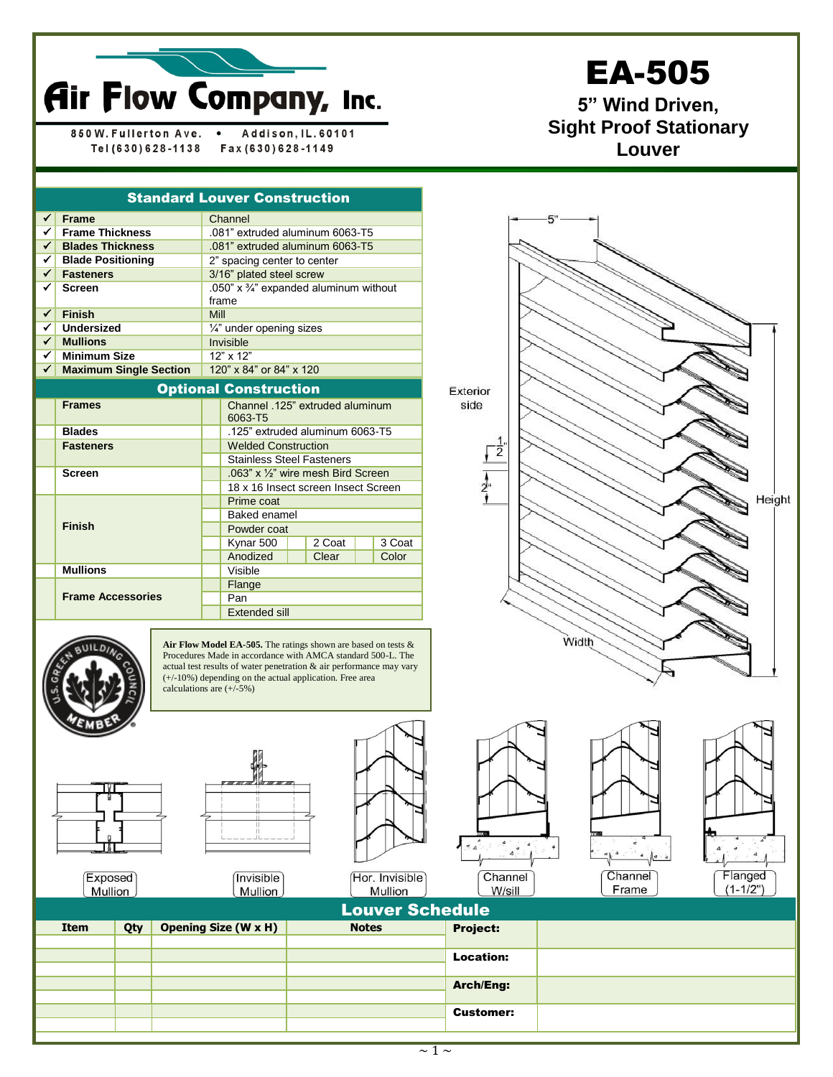

850W. Fullerton Ave. Addison, IL. 60101  $\bullet$ Tel (630) 628-1138 Fax (630) 628-1149

## EA-505

**5" Wind Driven, Sight Proof Stationary Louver**

|              | <b>Standard Louver Construction</b> |                                                                |                                                            |  |        |  |        |  |  |
|--------------|-------------------------------------|----------------------------------------------------------------|------------------------------------------------------------|--|--------|--|--------|--|--|
| ✔            | <b>Frame</b>                        |                                                                | Channel                                                    |  |        |  |        |  |  |
| ✓∣           | <b>Frame Thickness</b>              |                                                                | .081" extruded aluminum 6063-T5                            |  |        |  |        |  |  |
| $\checkmark$ | <b>Blades Thickness</b>             |                                                                | .081" extruded aluminum 6063-T5                            |  |        |  |        |  |  |
|              | $\checkmark$ Blade Positioning      |                                                                | 2" spacing center to center                                |  |        |  |        |  |  |
| $\checkmark$ | <b>Fasteners</b>                    |                                                                | 3/16" plated steel screw                                   |  |        |  |        |  |  |
| ✓            | <b>Screen</b>                       |                                                                | .050" x $\frac{3}{4}$ " expanded aluminum without<br>frame |  |        |  |        |  |  |
| $\checkmark$ | <b>Finish</b>                       | Mill                                                           |                                                            |  |        |  |        |  |  |
| ✓            | <b>Undersized</b>                   |                                                                | 1/4" under opening sizes                                   |  |        |  |        |  |  |
| $\checkmark$ | <b>Mullions</b>                     | Invisible                                                      |                                                            |  |        |  |        |  |  |
| ✓            | <b>Minimum Size</b>                 | $12"$ x $12"$                                                  |                                                            |  |        |  |        |  |  |
| ✓            | <b>Maximum Single Section</b>       | 120" x 84" or 84" x 120                                        |                                                            |  |        |  |        |  |  |
|              | <b>Optional Construction</b>        |                                                                |                                                            |  |        |  |        |  |  |
|              | <b>Frames</b>                       | Channel .125" extruded aluminum<br>6063-T5                     |                                                            |  |        |  |        |  |  |
|              | <b>Blades</b>                       | .125" extruded aluminum 6063-T5                                |                                                            |  |        |  |        |  |  |
|              | <b>Fasteners</b>                    | <b>Welded Construction</b><br><b>Stainless Steel Fasteners</b> |                                                            |  |        |  |        |  |  |
|              |                                     |                                                                |                                                            |  |        |  |        |  |  |
|              | <b>Screen</b>                       | .063" x 1/2" wire mesh Bird Screen                             |                                                            |  |        |  |        |  |  |
|              |                                     | 18 x 16 Insect screen Insect Screen                            |                                                            |  |        |  |        |  |  |
|              |                                     | Prime coat                                                     |                                                            |  |        |  |        |  |  |
|              |                                     | <b>Baked enamel</b>                                            |                                                            |  |        |  |        |  |  |
|              | <b>Finish</b>                       |                                                                | Powder coat                                                |  |        |  |        |  |  |
|              |                                     |                                                                | Kynar 500                                                  |  | 2 Coat |  | 3 Coat |  |  |
|              |                                     |                                                                | Anodized                                                   |  | Clear  |  | Color  |  |  |
|              | <b>Mullions</b>                     |                                                                | Visible                                                    |  |        |  |        |  |  |
|              |                                     |                                                                | Flange                                                     |  |        |  |        |  |  |
|              | <b>Frame Accessories</b>            | Pan                                                            |                                                            |  |        |  |        |  |  |
|              |                                     | Extended sill                                                  |                                                            |  |        |  |        |  |  |

**Air Flow Model EA-505.** The ratings shown are based on tests & Procedures Made in accordance with AMCA standard 500-L. The actual test results of water penetration & air performance may vary (+/-10%) depending on the actual application. Free area calculations are  $(+/-5%)$ 



**Invisible** 

Mullion

Exposed Mullion





(Hor. Invisible) Mullion



Exterior side

 $\frac{1}{2}$ 

 $\frac{1}{2}$ 





Height

| <b>Louver Schedule</b> |     |                             |              |                  |  |  |
|------------------------|-----|-----------------------------|--------------|------------------|--|--|
| <b>Item</b>            | Qty | <b>Opening Size (W x H)</b> | <b>Notes</b> | <b>Project:</b>  |  |  |
|                        |     |                             |              |                  |  |  |
|                        |     |                             |              | <b>Location:</b> |  |  |
|                        |     |                             |              |                  |  |  |
|                        |     |                             |              | <b>Arch/Eng:</b> |  |  |
|                        |     |                             |              |                  |  |  |
|                        |     |                             |              | <b>Customer:</b> |  |  |
|                        |     |                             |              |                  |  |  |